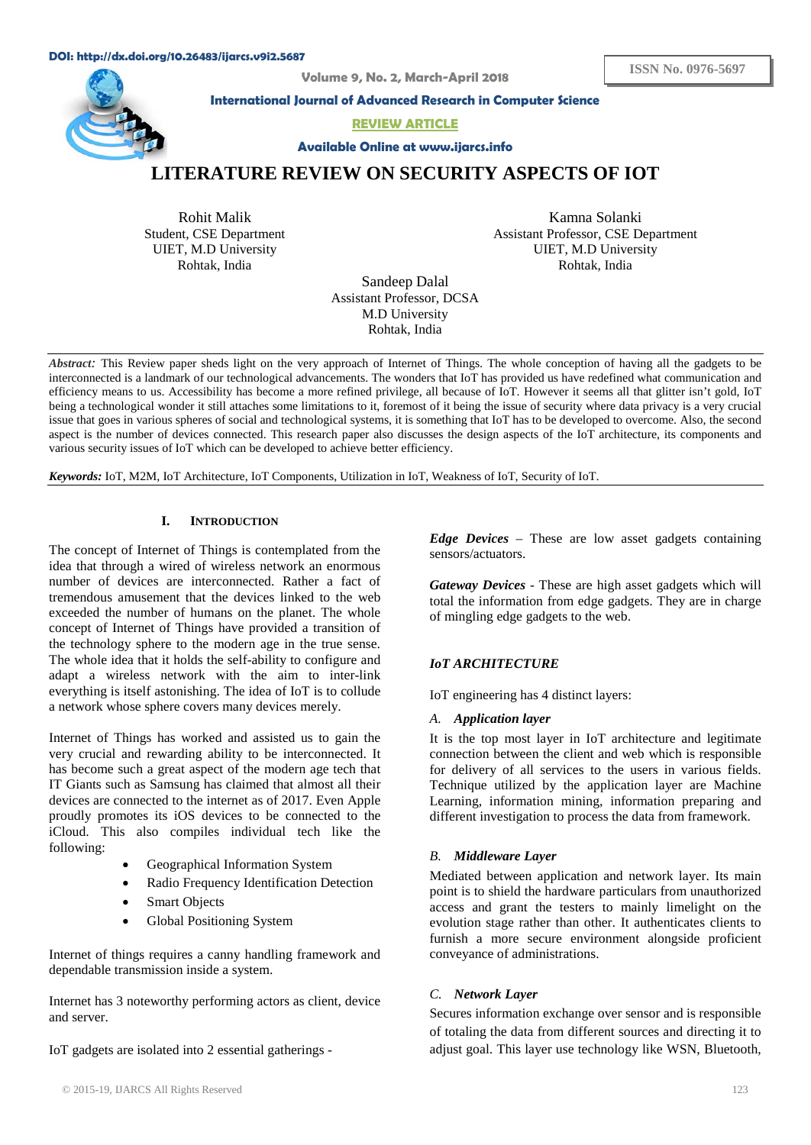#### **DOI: http://dx.doi.org/10.26483/ijarcs.v9i2.5687**

**Volume 9, No. 2, March-April 2018**



**International Journal of Advanced Research in Computer Science**

**REVIEW ARTICLE** 

**Available Online at www.ijarcs.info**

**ISSN No. 0976-5697**

# **LITERATURE REVIEW ON SECURITY ASPECTS OF IOT**

Rohit Malik Student, CSE Department UIET, M.D University Rohtak, India

Kamna Solanki Assistant Professor, CSE Department UIET, M.D University Rohtak, India

Sandeep Dalal Assistant Professor, DCSA M.D University Rohtak, India

*Abstract:* This Review paper sheds light on the very approach of Internet of Things. The whole conception of having all the gadgets to be interconnected is a landmark of our technological advancements. The wonders that IoT has provided us have redefined what communication and efficiency means to us. Accessibility has become a more refined privilege, all because of IoT. However it seems all that glitter isn't gold, IoT being a technological wonder it still attaches some limitations to it, foremost of it being the issue of security where data privacy is a very crucial issue that goes in various spheres of social and technological systems, it is something that IoT has to be developed to overcome. Also, the second aspect is the number of devices connected. This research paper also discusses the design aspects of the IoT architecture, its components and various security issues of IoT which can be developed to achieve better efficiency.

*Keywords:* IoT, M2M, IoT Architecture, IoT Components, Utilization in IoT, Weakness of IoT, Security of IoT.

# **I. INTRODUCTION**

The concept of Internet of Things is contemplated from the idea that through a wired of wireless network an enormous number of devices are interconnected. Rather a fact of tremendous amusement that the devices linked to the web exceeded the number of humans on the planet. The whole concept of Internet of Things have provided a transition of the technology sphere to the modern age in the true sense. The whole idea that it holds the self-ability to configure and adapt a wireless network with the aim to inter-link everything is itself astonishing. The idea of IoT is to collude a network whose sphere covers many devices merely.

Internet of Things has worked and assisted us to gain the very crucial and rewarding ability to be interconnected. It has become such a great aspect of the modern age tech that IT Giants such as Samsung has claimed that almost all their devices are connected to the internet as of 2017. Even Apple proudly promotes its iOS devices to be connected to the iCloud. This also compiles individual tech like the following:

- Geographical Information System
- Radio Frequency Identification Detection
- **Smart Objects**
- Global Positioning System

Internet of things requires a canny handling framework and dependable transmission inside a system.

Internet has 3 noteworthy performing actors as client, device and server.

IoT gadgets are isolated into 2 essential gatherings -

*Edge Devices* – These are low asset gadgets containing sensors/actuators.

*Gateway Devices* - These are high asset gadgets which will total the information from edge gadgets. They are in charge of mingling edge gadgets to the web.

# *IoT ARCHITECTURE*

IoT engineering has 4 distinct layers:

#### *A. Application layer*

It is the top most layer in IoT architecture and legitimate connection between the client and web which is responsible for delivery of all services to the users in various fields. Technique utilized by the application layer are Machine Learning, information mining, information preparing and different investigation to process the data from framework.

# *B. Middleware Layer*

Mediated between application and network layer. Its main point is to shield the hardware particulars from unauthorized access and grant the testers to mainly limelight on the evolution stage rather than other. It authenticates clients to furnish a more secure environment alongside proficient conveyance of administrations.

#### *C. Network Layer*

Secures information exchange over sensor and is responsible of totaling the data from different sources and directing it to adjust goal. This layer use technology like WSN, Bluetooth,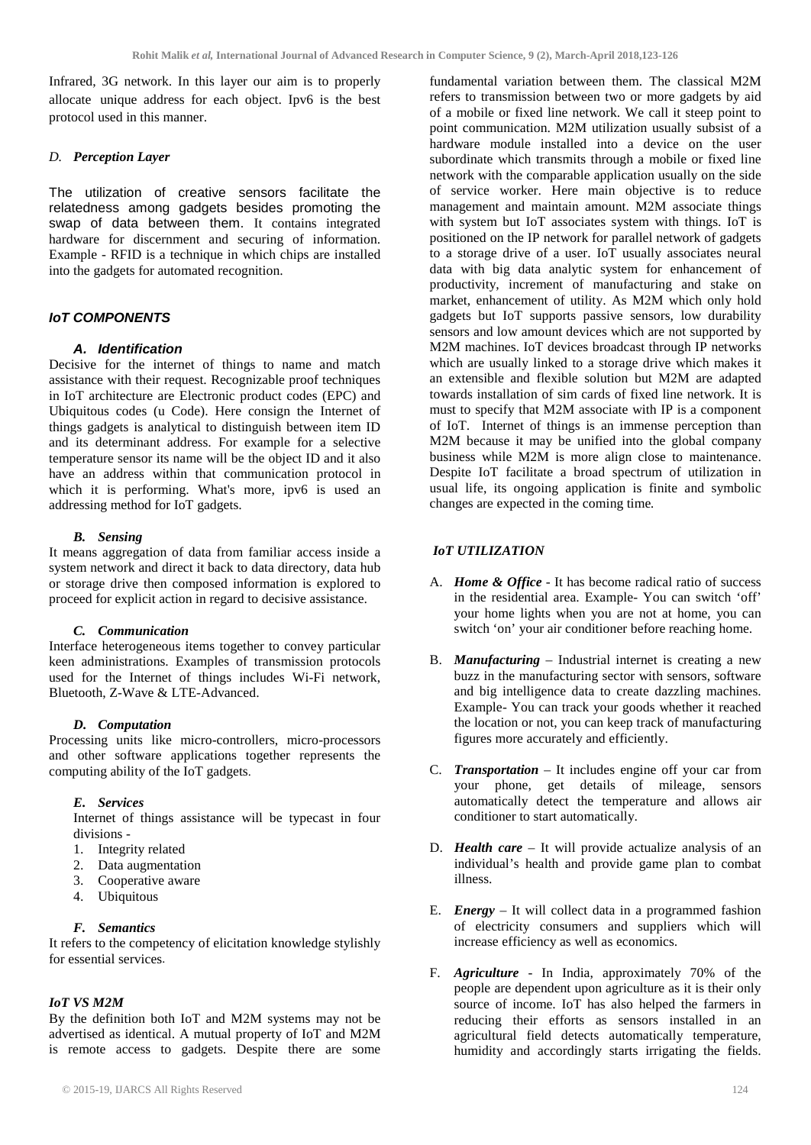Infrared, 3G network. In this layer our aim is to properly allocate unique address for each object. Ipv6 is the best protocol used in this manner.

# *D. Perception Layer*

The utilization of creative sensors facilitate the relatedness among gadgets besides promoting the swap of data between them. It contains integrated hardware for discernment and securing of information. Example - RFID is a technique in which chips are installed into the gadgets for automated recognition.

# *IoT COMPONENTS*

# *A. Identification*

Decisive for the internet of things to name and match assistance with their request. Recognizable proof techniques in IoT architecture are Electronic product codes (EPC) and Ubiquitous codes (u Code). Here consign the Internet of things gadgets is analytical to distinguish between item ID and its determinant address. For example for a selective temperature sensor its name will be the object ID and it also have an address within that communication protocol in which it is performing. What's more, ipv6 is used an addressing method for IoT gadgets.

# *B. Sensing*

It means aggregation of data from familiar access inside a system network and direct it back to data directory, data hub or storage drive then composed information is explored to proceed for explicit action in regard to decisive assistance.

# *C. Communication*

Interface heterogeneous items together to convey particular keen administrations. Examples of transmission protocols used for the Internet of things includes Wi-Fi network, Bluetooth, Z-Wave & LTE-Advanced.

# *D. Computation*

Processing units like micro-controllers, micro-processors and other software applications together represents the computing ability of the IoT gadgets.

# *E. Services*

Internet of things assistance will be typecast in four divisions -

- 1. Integrity related
- 2. Data augmentation
- 3. Cooperative aware
- 4. Ubiquitous

# *F. Semantics*

It refers to the competency of elicitation knowledge stylishly for essential services.

# *IoT VS M2M*

By the definition both IoT and M2M systems may not be advertised as identical. A mutual property of IoT and M2M is remote access to gadgets. Despite there are some

fundamental variation between them. The classical M2M refers to transmission between two or more gadgets by aid of a mobile or fixed line network. We call it steep point to point communication. M2M utilization usually subsist of a hardware module installed into a device on the user subordinate which transmits through a mobile or fixed line network with the comparable application usually on the side of service worker. Here main objective is to reduce management and maintain amount. M2M associate things with system but IoT associates system with things. IoT is positioned on the IP network for parallel network of gadgets to a storage drive of a user. IoT usually associates neural data with big data analytic system for enhancement of productivity, increment of manufacturing and stake on market, enhancement of utility. As M2M which only hold gadgets but IoT supports passive sensors, low durability sensors and low amount devices which are not supported by M2M machines. IoT devices broadcast through IP networks which are usually linked to a storage drive which makes it an extensible and flexible solution but M2M are adapted towards installation of sim cards of fixed line network. It is must to specify that M2M associate with IP is a component of IoT. Internet of things is an immense perception than M2M because it may be unified into the global company business while M2M is more align close to maintenance. Despite IoT facilitate a broad spectrum of utilization in usual life, its ongoing application is finite and symbolic changes are expected in the coming time*.* 

# *IoT UTILIZATION*

- A. *Home & Office* It has become radical ratio of success in the residential area. Example- You can switch 'off' your home lights when you are not at home, you can switch 'on' your air conditioner before reaching home.
- B. *Manufacturing* Industrial internet is creating a new buzz in the manufacturing sector with sensors, software and big intelligence data to create dazzling machines. Example- You can track your goods whether it reached the location or not, you can keep track of manufacturing figures more accurately and efficiently.
- C. *Transportation* It includes engine off your car from your phone, get details of mileage, sensors automatically detect the temperature and allows air conditioner to start automatically.
- D. *Health care* It will provide actualize analysis of an individual's health and provide game plan to combat illness.
- E. *Energy* It will collect data in a programmed fashion of electricity consumers and suppliers which will increase efficiency as well as economics.
- F. *Agriculture* In India, approximately 70% of the people are dependent upon agriculture as it is their only source of income. IoT has also helped the farmers in reducing their efforts as sensors installed in an agricultural field detects automatically temperature, humidity and accordingly starts irrigating the fields.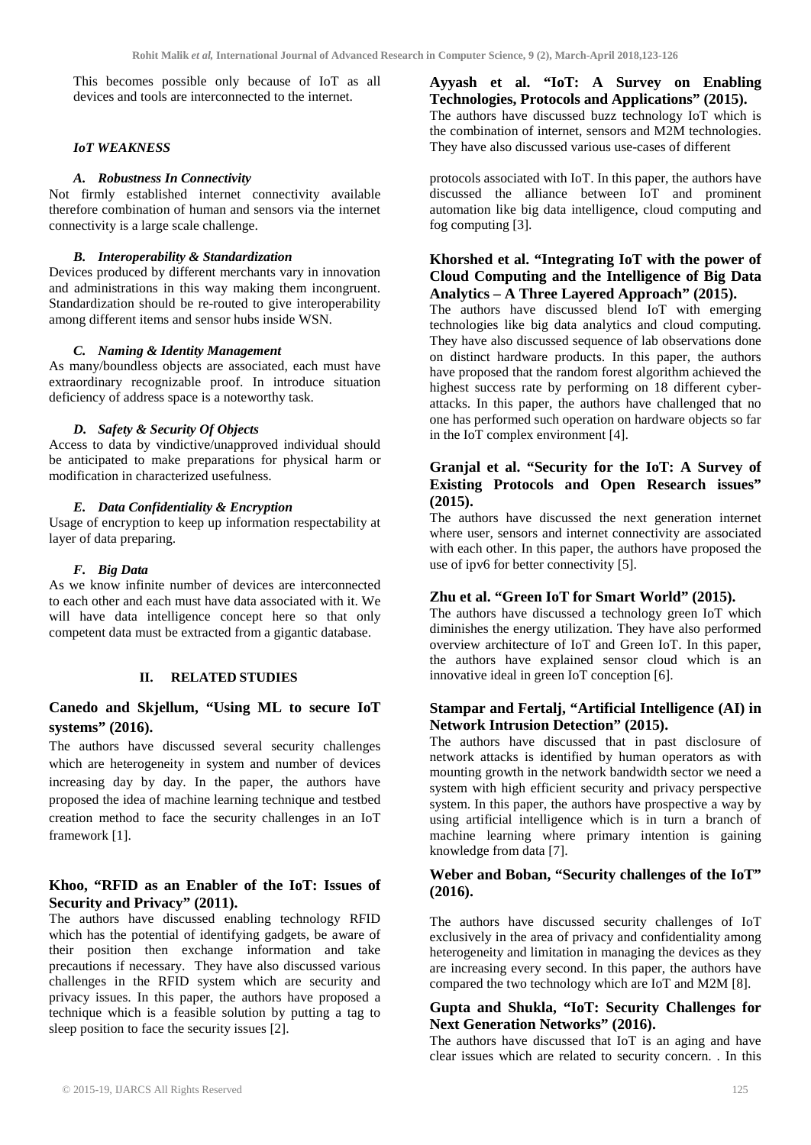This becomes possible only because of IoT as all devices and tools are interconnected to the internet.

#### *IoT WEAKNESS*

#### *A. Robustness In Connectivity*

Not firmly established internet connectivity available therefore combination of human and sensors via the internet connectivity is a large scale challenge.

### *B. Interoperability & Standardization*

Devices produced by different merchants vary in innovation and administrations in this way making them incongruent. Standardization should be re-routed to give interoperability among different items and sensor hubs inside WSN.

### *C. Naming & Identity Management*

As many/boundless objects are associated, each must have extraordinary recognizable proof. In introduce situation deficiency of address space is a noteworthy task.

# *D. Safety & Security Of Objects*

Access to data by vindictive/unapproved individual should be anticipated to make preparations for physical harm or modification in characterized usefulness.

### *E. Data Confidentiality & Encryption*

Usage of encryption to keep up information respectability at layer of data preparing.

### *F. Big Data*

As we know infinite number of devices are interconnected to each other and each must have data associated with it. We will have data intelligence concept here so that only competent data must be extracted from a gigantic database.

# **II. RELATED STUDIES**

# **Canedo and Skjellum, "Using ML to secure IoT systems" (2016).**

The authors have discussed several security challenges which are heterogeneity in system and number of devices increasing day by day. In the paper, the authors have proposed the idea of machine learning technique and testbed creation method to face the security challenges in an IoT framework [1].

# **Khoo, "RFID as an Enabler of the IoT: Issues of Security and Privacy" (2011).**

The authors have discussed enabling technology RFID which has the potential of identifying gadgets, be aware of their position then exchange information and take precautions if necessary. They have also discussed various challenges in the RFID system which are security and privacy issues. In this paper, the authors have proposed a technique which is a feasible solution by putting a tag to sleep position to face the security issues [2].

**Ayyash et al. "IoT: A Survey on Enabling Technologies, Protocols and Applications" (2015).** The authors have discussed buzz technology IoT which is the combination of internet, sensors and M2M technologies. They have also discussed various use-cases of different

protocols associated with IoT. In this paper, the authors have discussed the alliance between IoT and prominent automation like big data intelligence, cloud computing and fog computing [3].

# **Khorshed et al. "Integrating IoT with the power of Cloud Computing and the Intelligence of Big Data Analytics – A Three Layered Approach" (2015).**

The authors have discussed blend IoT with emerging technologies like big data analytics and cloud computing. They have also discussed sequence of lab observations done on distinct hardware products. In this paper, the authors have proposed that the random forest algorithm achieved the highest success rate by performing on 18 different cyberattacks. In this paper, the authors have challenged that no one has performed such operation on hardware objects so far in the IoT complex environment [4].

# **Granjal et al. "Security for the IoT: A Survey of Existing Protocols and Open Research issues" (2015).**

The authors have discussed the next generation internet where user, sensors and internet connectivity are associated with each other. In this paper, the authors have proposed the use of ipv6 for better connectivity [5].

# **Zhu et al. "Green IoT for Smart World" (2015).**

The authors have discussed a technology green IoT which diminishes the energy utilization. They have also performed overview architecture of IoT and Green IoT. In this paper, the authors have explained sensor cloud which is an innovative ideal in green IoT conception [6].

# **Stampar and Fertalj, "Artificial Intelligence (AI) in Network Intrusion Detection" (2015).**

The authors have discussed that in past disclosure of network attacks is identified by human operators as with mounting growth in the network bandwidth sector we need a system with high efficient security and privacy perspective system. In this paper, the authors have prospective a way by using artificial intelligence which is in turn a branch of machine learning where primary intention is gaining knowledge from data [7].

# **Weber and Boban, "Security challenges of the IoT" (2016).**

The authors have discussed security challenges of IoT exclusively in the area of privacy and confidentiality among heterogeneity and limitation in managing the devices as they are increasing every second. In this paper, the authors have compared the two technology which are IoT and M2M [8].

# **Gupta and Shukla, "IoT: Security Challenges for Next Generation Networks" (2016).**

The authors have discussed that IoT is an aging and have clear issues which are related to security concern. . In this